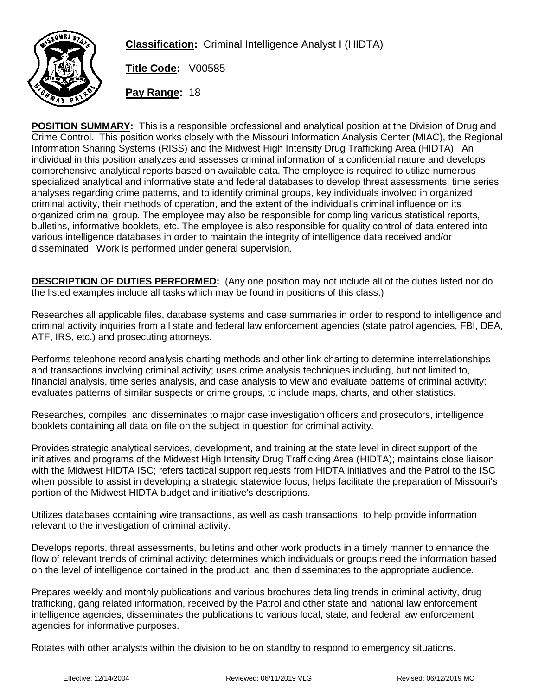

**Classification:** Criminal Intelligence Analyst I (HIDTA)

**Title Code:** V00585

**Pay Range:** 18

**POSITION SUMMARY:** This is a responsible professional and analytical position at the Division of Drug and Crime Control. This position works closely with the Missouri Information Analysis Center (MIAC), the Regional Information Sharing Systems (RISS) and the Midwest High Intensity Drug Trafficking Area (HIDTA). An individual in this position analyzes and assesses criminal information of a confidential nature and develops comprehensive analytical reports based on available data. The employee is required to utilize numerous specialized analytical and informative state and federal databases to develop threat assessments, time series analyses regarding crime patterns, and to identify criminal groups, key individuals involved in organized criminal activity, their methods of operation, and the extent of the individual's criminal influence on its organized criminal group. The employee may also be responsible for compiling various statistical reports, bulletins, informative booklets, etc. The employee is also responsible for quality control of data entered into various intelligence databases in order to maintain the integrity of intelligence data received and/or disseminated. Work is performed under general supervision.

**DESCRIPTION OF DUTIES PERFORMED:** (Any one position may not include all of the duties listed nor do the listed examples include all tasks which may be found in positions of this class.)

Researches all applicable files, database systems and case summaries in order to respond to intelligence and criminal activity inquiries from all state and federal law enforcement agencies (state patrol agencies, FBI, DEA, ATF, IRS, etc.) and prosecuting attorneys.

Performs telephone record analysis charting methods and other link charting to determine interrelationships and transactions involving criminal activity; uses crime analysis techniques including, but not limited to, financial analysis, time series analysis, and case analysis to view and evaluate patterns of criminal activity; evaluates patterns of similar suspects or crime groups, to include maps, charts, and other statistics.

Researches, compiles, and disseminates to major case investigation officers and prosecutors, intelligence booklets containing all data on file on the subject in question for criminal activity.

Provides strategic analytical services, development, and training at the state level in direct support of the initiatives and programs of the Midwest High Intensity Drug Trafficking Area (HIDTA); maintains close liaison with the Midwest HIDTA ISC; refers tactical support requests from HIDTA initiatives and the Patrol to the ISC when possible to assist in developing a strategic statewide focus; helps facilitate the preparation of Missouri's portion of the Midwest HIDTA budget and initiative's descriptions.

Utilizes databases containing wire transactions, as well as cash transactions, to help provide information relevant to the investigation of criminal activity.

Develops reports, threat assessments, bulletins and other work products in a timely manner to enhance the flow of relevant trends of criminal activity; determines which individuals or groups need the information based on the level of intelligence contained in the product; and then disseminates to the appropriate audience.

Prepares weekly and monthly publications and various brochures detailing trends in criminal activity, drug trafficking, gang related information, received by the Patrol and other state and national law enforcement intelligence agencies; disseminates the publications to various local, state, and federal law enforcement agencies for informative purposes.

Rotates with other analysts within the division to be on standby to respond to emergency situations.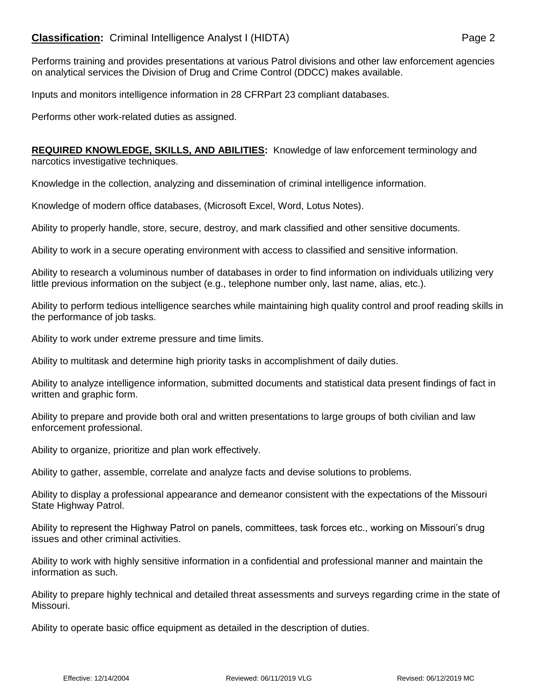## **Classification:** Criminal Intelligence Analyst I (HIDTA) **Page 2** Page 2

Performs training and provides presentations at various Patrol divisions and other law enforcement agencies on analytical services the Division of Drug and Crime Control (DDCC) makes available.

Inputs and monitors intelligence information in 28 CFRPart 23 compliant databases.

Performs other work-related duties as assigned.

**REQUIRED KNOWLEDGE, SKILLS, AND ABILITIES:** Knowledge of law enforcement terminology and narcotics investigative techniques.

Knowledge in the collection, analyzing and dissemination of criminal intelligence information.

Knowledge of modern office databases, (Microsoft Excel, Word, Lotus Notes).

Ability to properly handle, store, secure, destroy, and mark classified and other sensitive documents.

Ability to work in a secure operating environment with access to classified and sensitive information.

Ability to research a voluminous number of databases in order to find information on individuals utilizing very little previous information on the subject (e.g., telephone number only, last name, alias, etc.).

Ability to perform tedious intelligence searches while maintaining high quality control and proof reading skills in the performance of job tasks.

Ability to work under extreme pressure and time limits.

Ability to multitask and determine high priority tasks in accomplishment of daily duties.

Ability to analyze intelligence information, submitted documents and statistical data present findings of fact in written and graphic form.

Ability to prepare and provide both oral and written presentations to large groups of both civilian and law enforcement professional.

Ability to organize, prioritize and plan work effectively.

Ability to gather, assemble, correlate and analyze facts and devise solutions to problems.

Ability to display a professional appearance and demeanor consistent with the expectations of the Missouri State Highway Patrol.

Ability to represent the Highway Patrol on panels, committees, task forces etc., working on Missouri's drug issues and other criminal activities.

Ability to work with highly sensitive information in a confidential and professional manner and maintain the information as such.

Ability to prepare highly technical and detailed threat assessments and surveys regarding crime in the state of Missouri.

Ability to operate basic office equipment as detailed in the description of duties.